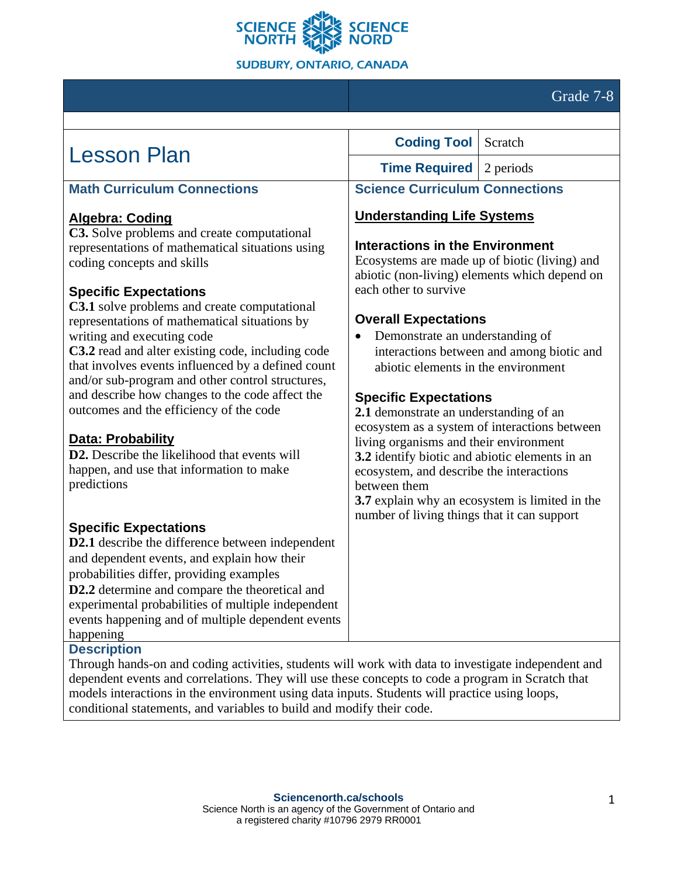

# Grade 7-8

| <b>Lesson Plan</b>                                                                                                                                                                                                                                                                                                                                                                                                                                                                                                                                                                                                                                                                                                                                                                                                                                                                                                                                                                                                                                                                                        | <b>Coding Tool</b>                                                                                                                                                                                                                                                                                                                                                                                                                                                                                                                                                                                                                                              | Scratch                                                                                    |
|-----------------------------------------------------------------------------------------------------------------------------------------------------------------------------------------------------------------------------------------------------------------------------------------------------------------------------------------------------------------------------------------------------------------------------------------------------------------------------------------------------------------------------------------------------------------------------------------------------------------------------------------------------------------------------------------------------------------------------------------------------------------------------------------------------------------------------------------------------------------------------------------------------------------------------------------------------------------------------------------------------------------------------------------------------------------------------------------------------------|-----------------------------------------------------------------------------------------------------------------------------------------------------------------------------------------------------------------------------------------------------------------------------------------------------------------------------------------------------------------------------------------------------------------------------------------------------------------------------------------------------------------------------------------------------------------------------------------------------------------------------------------------------------------|--------------------------------------------------------------------------------------------|
|                                                                                                                                                                                                                                                                                                                                                                                                                                                                                                                                                                                                                                                                                                                                                                                                                                                                                                                                                                                                                                                                                                           | <b>Time Required</b>                                                                                                                                                                                                                                                                                                                                                                                                                                                                                                                                                                                                                                            | 2 periods                                                                                  |
| <b>Math Curriculum Connections</b>                                                                                                                                                                                                                                                                                                                                                                                                                                                                                                                                                                                                                                                                                                                                                                                                                                                                                                                                                                                                                                                                        | <b>Science Curriculum Connections</b>                                                                                                                                                                                                                                                                                                                                                                                                                                                                                                                                                                                                                           |                                                                                            |
| <b>Algebra: Coding</b><br>C3. Solve problems and create computational<br>representations of mathematical situations using<br>coding concepts and skills<br><b>Specific Expectations</b><br><b>C3.1</b> solve problems and create computational<br>representations of mathematical situations by<br>writing and executing code<br>C3.2 read and alter existing code, including code<br>that involves events influenced by a defined count<br>and/or sub-program and other control structures,<br>and describe how changes to the code affect the<br>outcomes and the efficiency of the code<br>Data: Probability<br>D2. Describe the likelihood that events will<br>happen, and use that information to make<br>predictions<br><b>Specific Expectations</b><br>D2.1 describe the difference between independent<br>and dependent events, and explain how their<br>probabilities differ, providing examples<br>D2.2 determine and compare the theoretical and<br>experimental probabilities of multiple independent<br>events happening and of multiple dependent events<br>happening<br><b>Description</b> | <b>Understanding Life Systems</b><br><b>Interactions in the Environment</b><br>Ecosystems are made up of biotic (living) and<br>each other to survive<br><b>Overall Expectations</b><br>Demonstrate an understanding of<br>$\bullet$<br>abiotic elements in the environment<br><b>Specific Expectations</b><br>2.1 demonstrate an understanding of an<br>ecosystem as a system of interactions between<br>living organisms and their environment<br>3.2 identify biotic and abiotic elements in an<br>ecosystem, and describe the interactions<br>between them<br>3.7 explain why an ecosystem is limited in the<br>number of living things that it can support | abiotic (non-living) elements which depend on<br>interactions between and among biotic and |

Through hands-on and coding activities, students will work with data to investigate independent and dependent events and correlations. They will use these concepts to code a program in Scratch that models interactions in the environment using data inputs. Students will practice using loops, conditional statements, and variables to build and modify their code.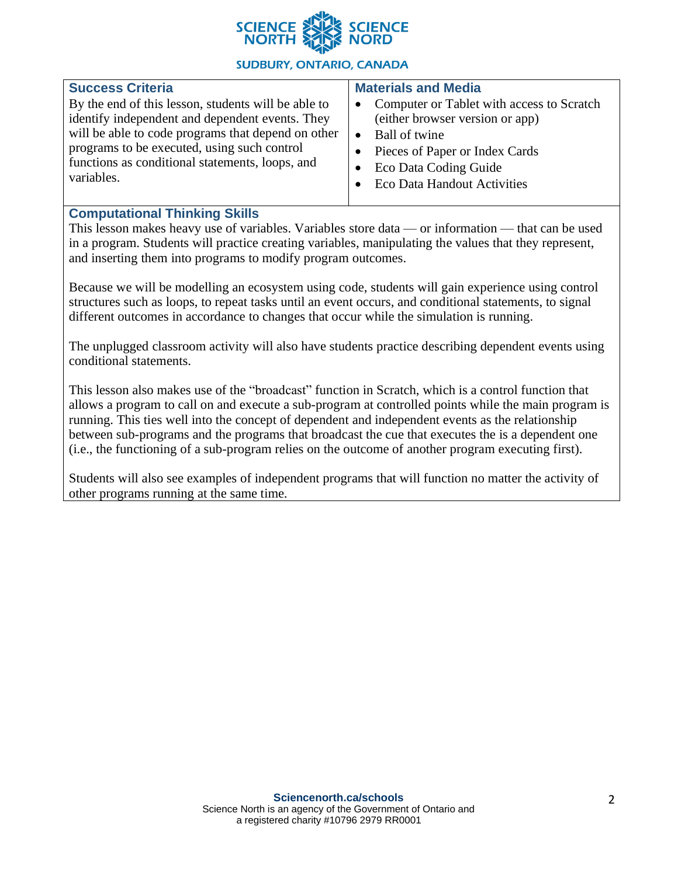

| <b>Success Criteria</b>                                                                                                                                                                                                                                                      | <b>Materials and Media</b>                                                                                                                                                                               |
|------------------------------------------------------------------------------------------------------------------------------------------------------------------------------------------------------------------------------------------------------------------------------|----------------------------------------------------------------------------------------------------------------------------------------------------------------------------------------------------------|
| By the end of this lesson, students will be able to<br>identify independent and dependent events. They<br>will be able to code programs that depend on other<br>programs to be executed, using such control<br>functions as conditional statements, loops, and<br>variables. | Computer or Tablet with access to Scratch<br>$\bullet$<br>(either browser version or app)<br>Ball of twine<br>• Pieces of Paper or Index Cards<br>Eco Data Coding Guide<br>• Eco Data Handout Activities |
|                                                                                                                                                                                                                                                                              |                                                                                                                                                                                                          |

### **Computational Thinking Skills**

This lesson makes heavy use of variables. Variables store data — or information — that can be used in a program. Students will practice creating variables, manipulating the values that they represent, and inserting them into programs to modify program outcomes.

Because we will be modelling an ecosystem using code, students will gain experience using control structures such as loops, to repeat tasks until an event occurs, and conditional statements, to signal different outcomes in accordance to changes that occur while the simulation is running.

The unplugged classroom activity will also have students practice describing dependent events using conditional statements.

This lesson also makes use of the "broadcast" function in Scratch, which is a control function that allows a program to call on and execute a sub-program at controlled points while the main program is running. This ties well into the concept of dependent and independent events as the relationship between sub-programs and the programs that broadcast the cue that executes the is a dependent one (i.e., the functioning of a sub-program relies on the outcome of another program executing first).

Students will also see examples of independent programs that will function no matter the activity of other programs running at the same time.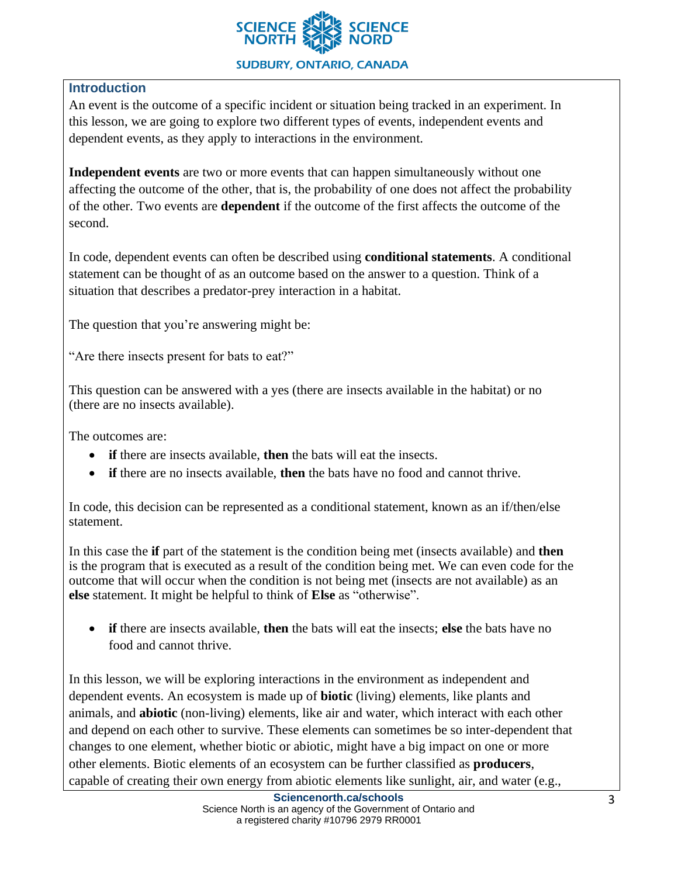

# **Introduction**

An event is the outcome of a specific incident or situation being tracked in an experiment. In this lesson, we are going to explore two different types of events, independent events and dependent events, as they apply to interactions in the environment.

**Independent events** are two or more events that can happen simultaneously without one affecting the outcome of the other, that is, the probability of one does not affect the probability of the other. Two events are **dependent** if the outcome of the first affects the outcome of the second.

In code, dependent events can often be described using **conditional statements**. A conditional statement can be thought of as an outcome based on the answer to a question. Think of a situation that describes a predator-prey interaction in a habitat.

The question that you're answering might be:

"Are there insects present for bats to eat?"

This question can be answered with a yes (there are insects available in the habitat) or no (there are no insects available).

The outcomes are:

- **if** there are insects available, **then** the bats will eat the insects.
- **if** there are no insects available, **then** the bats have no food and cannot thrive.

In code, this decision can be represented as a conditional statement, known as an if/then/else statement.

In this case the **if** part of the statement is the condition being met (insects available) and **then** is the program that is executed as a result of the condition being met. We can even code for the outcome that will occur when the condition is not being met (insects are not available) as an **else** statement. It might be helpful to think of **Else** as "otherwise".

• **if** there are insects available, **then** the bats will eat the insects; **else** the bats have no food and cannot thrive.

In this lesson, we will be exploring interactions in the environment as independent and dependent events. An ecosystem is made up of **biotic** (living) elements, like plants and animals, and **abiotic** (non-living) elements, like air and water, which interact with each other and depend on each other to survive. These elements can sometimes be so inter-dependent that changes to one element, whether biotic or abiotic, might have a big impact on one or more other elements. Biotic elements of an ecosystem can be further classified as **producers**, capable of creating their own energy from abiotic elements like sunlight, air, and water (e.g.,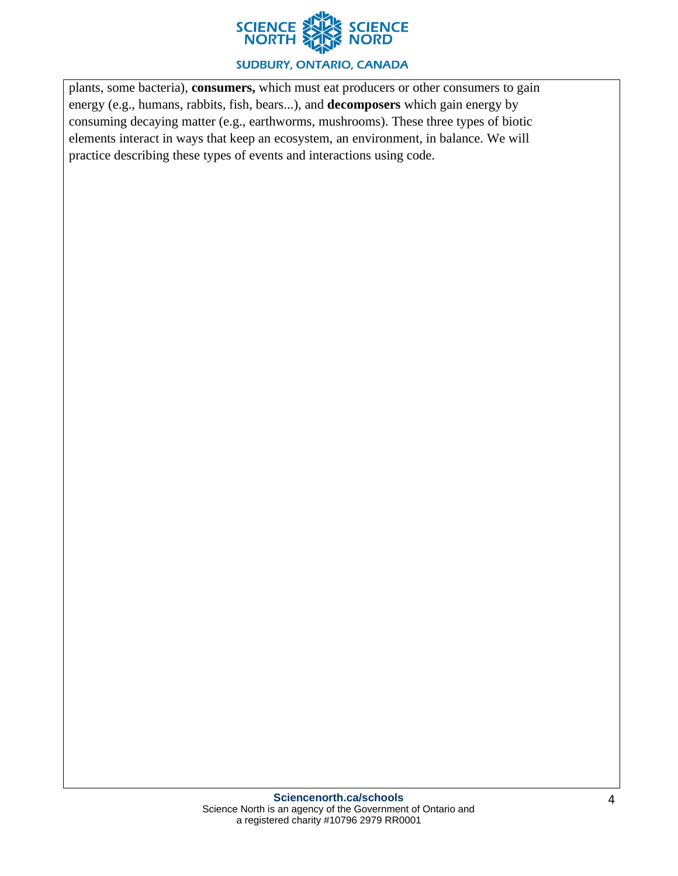

plants, some bacteria), **consumers,** which must eat producers or other consumers to gain energy (e.g., humans, rabbits, fish, bears...), and **decomposers** which gain energy by consuming decaying matter (e.g., earthworms, mushrooms). These three types of biotic elements interact in ways that keep an ecosystem, an environment, in balance. We will practice describing these types of events and interactions using code.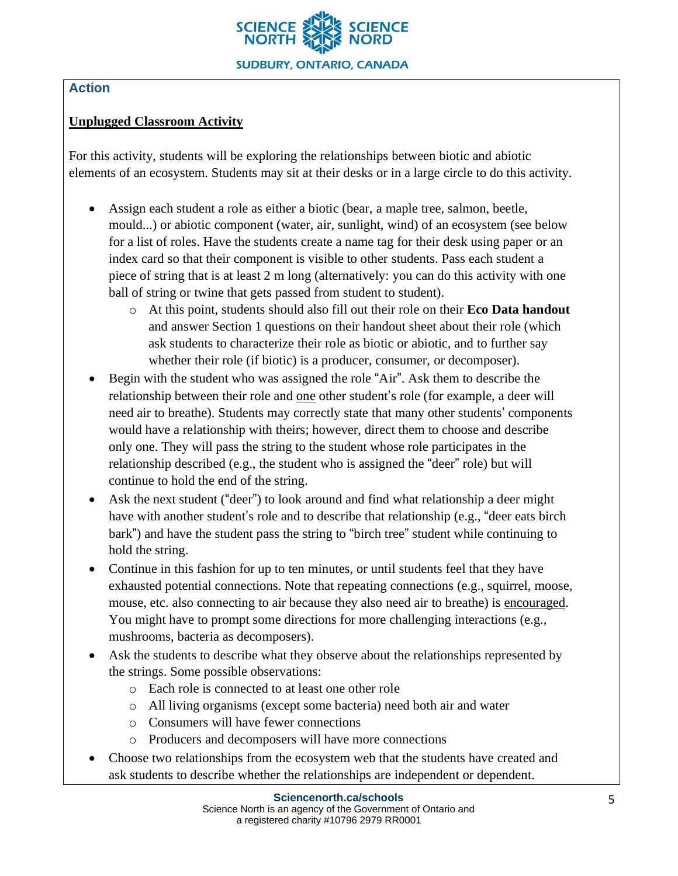

# **Action**

# **Unplugged Classroom Activity**

For this activity, students will be exploring the relationships between biotic and abiotic elements of an ecosystem. Students may sit at their desks or in a large circle to do this activity.

- Assign each student a role as either a biotic (bear, a maple tree, salmon, beetle, mould...) or abiotic component (water, air, sunlight, wind) of an ecosystem (see below for a list of roles. Have the students create a name tag for their desk using paper or an index card so that their component is visible to other students. Pass each student a piece of string that is at least 2 m long (alternatively: you can do this activity with one ball of string or twine that gets passed from student to student).
	- o At this point, students should also fill out their role on their **Eco Data handout** and answer Section 1 questions on their handout sheet about their role (which ask students to characterize their role as biotic or abiotic, and to further say whether their role (if biotic) is a producer, consumer, or decomposer).
- Begin with the student who was assigned the role "Air". Ask them to describe the relationship between their role and one other student's role (for example, a deer will need air to breathe). Students may correctly state that many other students' components would have a relationship with theirs; however, direct them to choose and describe only one. They will pass the string to the student whose role participates in the relationship described (e.g., the student who is assigned the "deer" role) but will continue to hold the end of the string.
- Ask the next student ("deer") to look around and find what relationship a deer might have with another student's role and to describe that relationship (e.g., "deer eats birch bark") and have the student pass the string to "birch tree" student while continuing to hold the string.
- Continue in this fashion for up to ten minutes, or until students feel that they have exhausted potential connections. Note that repeating connections (e.g., squirrel, moose, mouse, etc. also connecting to air because they also need air to breathe) is encouraged. You might have to prompt some directions for more challenging interactions (e.g., mushrooms, bacteria as decomposers).
- Ask the students to describe what they observe about the relationships represented by the strings. Some possible observations:
	- o Each role is connected to at least one other role
	- o All living organisms (except some bacteria) need both air and water
	- o Consumers will have fewer connections
	- o Producers and decomposers will have more connections
- Choose two relationships from the ecosystem web that the students have created and ask students to describe whether the relationships are independent or dependent.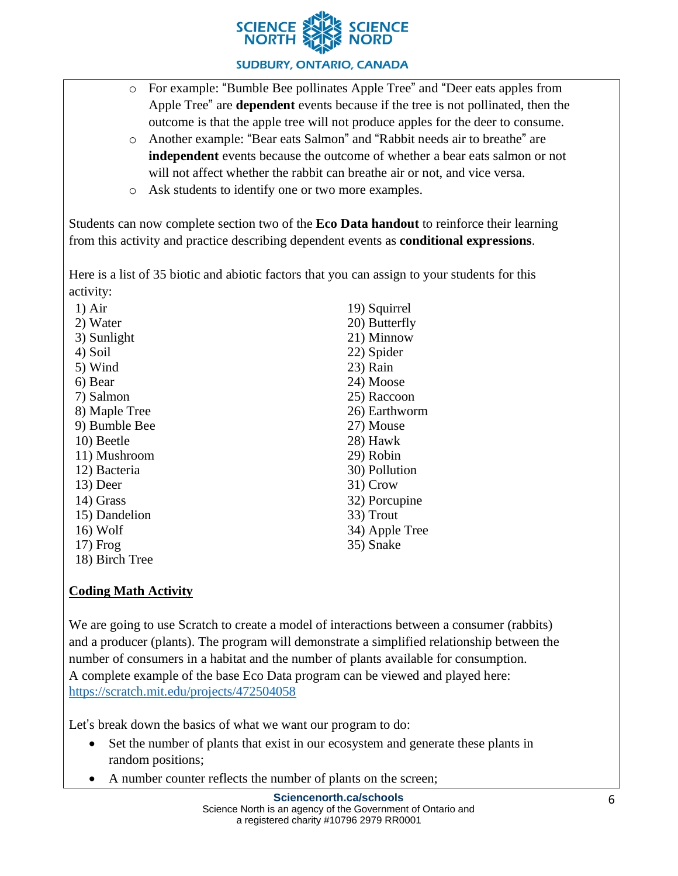

- o For example: "Bumble Bee pollinates Apple Tree" and "Deer eats apples from Apple Tree" are **dependent** events because if the tree is not pollinated, then the outcome is that the apple tree will not produce apples for the deer to consume.
- o Another example: "Bear eats Salmon" and "Rabbit needs air to breathe" are **independent** events because the outcome of whether a bear eats salmon or not will not affect whether the rabbit can breathe air or not, and vice versa.
- o Ask students to identify one or two more examples.

Students can now complete section two of the **Eco Data handout** to reinforce their learning from this activity and practice describing dependent events as **conditional expressions**.

Here is a list of 35 biotic and abiotic factors that you can assign to your students for this activity:

1) Air 19) Squirrel 2) Water 20) Butterfly 3) Sunlight 21) Minnow 4) Soil 22) Spider 5) Wind 23) Rain 6) Bear 24) Moose 7) Salmon 25) Raccoon 8) Maple Tree 26) Earthworm 9) Bumble Bee 27) Mouse 10) Beetle 28) Hawk 11) Mushroom 29) Robin 12) Bacteria 30) Pollution 13) Deer 31) Crow 14) Grass 32) Porcupine 15) Dandelion 33) Trout 16) Wolf 34) Apple Tree 17) Frog 35) Snake 18) Birch Tree

# **Coding Math Activity**

We are going to use Scratch to create a model of interactions between a consumer (rabbits) and a producer (plants). The program will demonstrate a simplified relationship between the number of consumers in a habitat and the number of plants available for consumption. A complete example of the base Eco Data program can be viewed and played here: <https://scratch.mit.edu/projects/472504058>

Let's break down the basics of what we want our program to do:

- Set the number of plants that exist in our ecosystem and generate these plants in random positions;
- A number counter reflects the number of plants on the screen;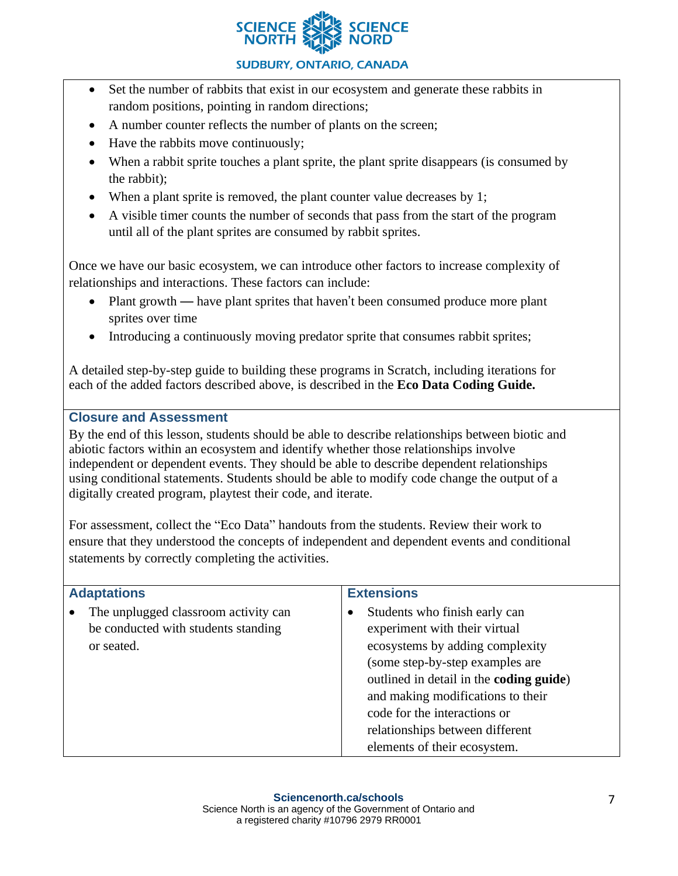

- Set the number of rabbits that exist in our ecosystem and generate these rabbits in random positions, pointing in random directions;
- A number counter reflects the number of plants on the screen;
- Have the rabbits move continuously;
- When a rabbit sprite touches a plant sprite, the plant sprite disappears (is consumed by the rabbit);
- When a plant sprite is removed, the plant counter value decreases by 1;
- A visible timer counts the number of seconds that pass from the start of the program until all of the plant sprites are consumed by rabbit sprites.

Once we have our basic ecosystem, we can introduce other factors to increase complexity of relationships and interactions. These factors can include:

- Plant growth have plant sprites that haven't been consumed produce more plant sprites over time
- Introducing a continuously moving predator sprite that consumes rabbit sprites;

A detailed step-by-step guide to building these programs in Scratch, including iterations for each of the added factors described above, is described in the **Eco Data Coding Guide.**

#### **Closure and Assessment**

By the end of this lesson, students should be able to describe relationships between biotic and abiotic factors within an ecosystem and identify whether those relationships involve independent or dependent events. They should be able to describe dependent relationships using conditional statements. Students should be able to modify code change the output of a digitally created program, playtest their code, and iterate.

For assessment, collect the "Eco Data" handouts from the students. Review their work to ensure that they understood the concepts of independent and dependent events and conditional statements by correctly completing the activities.

| <b>Adaptations</b>                                                                        | <b>Extensions</b>                                                                                                                                                                                                                                                                               |
|-------------------------------------------------------------------------------------------|-------------------------------------------------------------------------------------------------------------------------------------------------------------------------------------------------------------------------------------------------------------------------------------------------|
| The unplugged classroom activity can<br>be conducted with students standing<br>or seated. | Students who finish early can<br>experiment with their virtual<br>ecosystems by adding complexity<br>(some step-by-step examples are<br>outlined in detail in the <b>coding guide</b> )<br>and making modifications to their<br>code for the interactions or<br>relationships between different |
|                                                                                           | elements of their ecosystem.                                                                                                                                                                                                                                                                    |